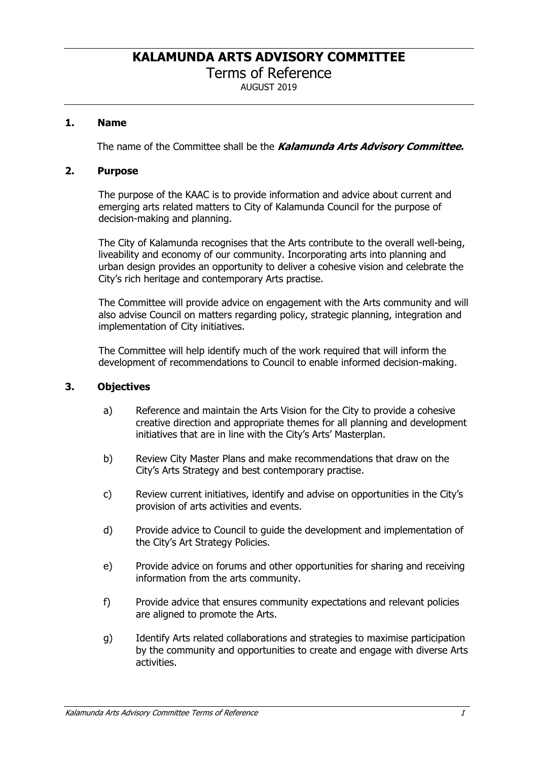Terms of Reference

AUGUST 2019

## **1. Name**

The name of the Committee shall be the *Kalamunda Arts Advisory Committee.*

#### **2. Purpose**

The purpose of the KAAC is to provide information and advice about current and emerging arts related matters to City of Kalamunda Council for the purpose of decision-making and planning.

The City of Kalamunda recognises that the Arts contribute to the overall well-being, liveability and economy of our community. Incorporating arts into planning and urban design provides an opportunity to deliver a cohesive vision and celebrate the City's rich heritage and contemporary Arts practise.

The Committee will provide advice on engagement with the Arts community and will also advise Council on matters regarding policy, strategic planning, integration and implementation of City initiatives.

The Committee will help identify much of the work required that will inform the development of recommendations to Council to enable informed decision-making.

#### **3. Objectives**

- a) Reference and maintain the Arts Vision for the City to provide a cohesive creative direction and appropriate themes for all planning and development initiatives that are in line with the City's Arts' Masterplan.
- b) Review City Master Plans and make recommendations that draw on the City's Arts Strategy and best contemporary practise.
- c) Review current initiatives, identify and advise on opportunities in the City's provision of arts activities and events.
- d) Provide advice to Council to guide the development and implementation of the City's Art Strategy Policies.
- e) Provide advice on forums and other opportunities for sharing and receiving information from the arts community.
- f) Provide advice that ensures community expectations and relevant policies are aligned to promote the Arts.
- g) Identify Arts related collaborations and strategies to maximise participation by the community and opportunities to create and engage with diverse Arts activities.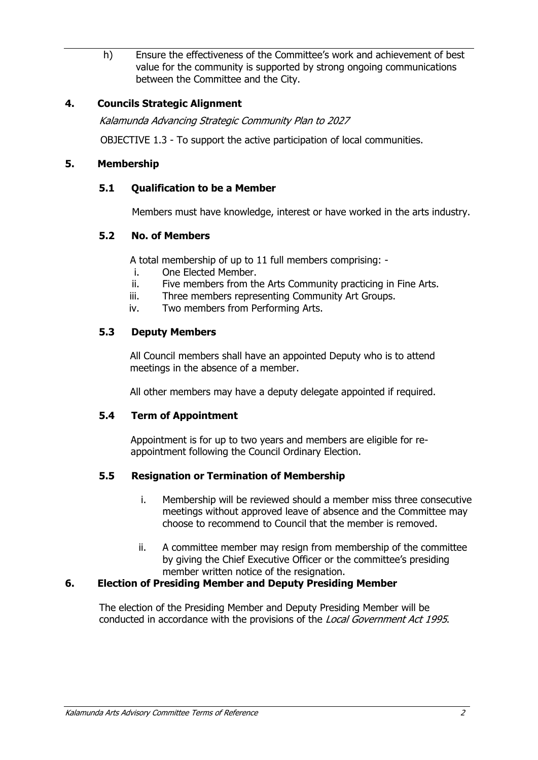h) Ensure the effectiveness of the Committee's work and achievement of best value for the community is supported by strong ongoing communications between the Committee and the City.

# **4. Councils Strategic Alignment**

*Kalamunda Advancing Strategic Community Plan to 2027* 

OBJECTIVE 1.3 - To support the active participation of local communities.

## **5. Membership**

## **5.1 Qualification to be a Member**

Members must have knowledge, interest or have worked in the arts industry.

## **5.2 No. of Members**

A total membership of up to 11 full members comprising: -

- i. One Elected Member.
- ii. Five members from the Arts Community practicing in Fine Arts.
- iii. Three members representing Community Art Groups.
- iv. Two members from Performing Arts.

## **5.3 Deputy Members**

All Council members shall have an appointed Deputy who is to attend meetings in the absence of a member.

All other members may have a deputy delegate appointed if required.

## **5.4 Term of Appointment**

Appointment is for up to two years and members are eligible for reappointment following the Council Ordinary Election.

## **5.5 Resignation or Termination of Membership**

- i. Membership will be reviewed should a member miss three consecutive meetings without approved leave of absence and the Committee may choose to recommend to Council that the member is removed.
- ii. A committee member may resign from membership of the committee by giving the Chief Executive Officer or the committee's presiding member written notice of the resignation.

## **6. Election of Presiding Member and Deputy Presiding Member**

The election of the Presiding Member and Deputy Presiding Member will be conducted in accordance with the provisions of the *Local Government Act 1995*.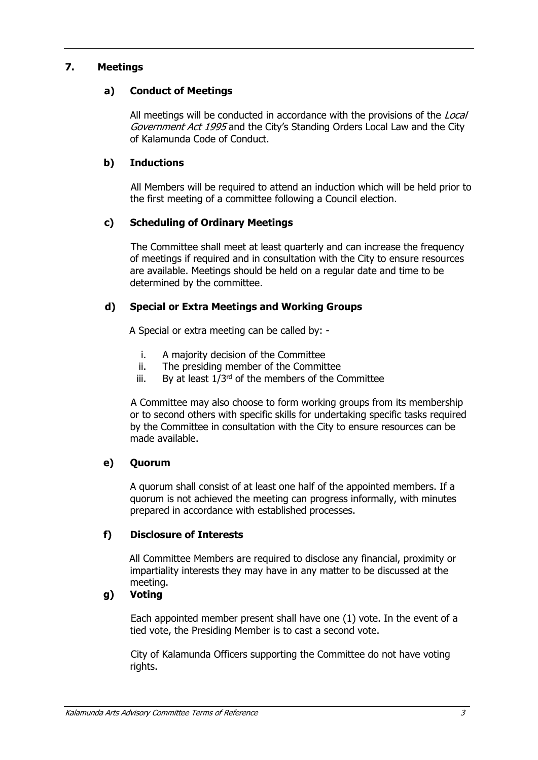## **7. Meetings**

## **a) Conduct of Meetings**

All meetings will be conducted in accordance with the provisions of the *Local Government Act 1995* and the City's Standing Orders Local Law and the City of Kalamunda Code of Conduct.

## **b) Inductions**

All Members will be required to attend an induction which will be held prior to the first meeting of a committee following a Council election.

## **c) Scheduling of Ordinary Meetings**

The Committee shall meet at least quarterly and can increase the frequency of meetings if required and in consultation with the City to ensure resources are available. Meetings should be held on a regular date and time to be determined by the committee.

#### **d) Special or Extra Meetings and Working Groups**

A Special or extra meeting can be called by: -

- i. A majority decision of the Committee
- ii. The presiding member of the Committee
- iii. By at least  $1/3^{rd}$  of the members of the Committee

A Committee may also choose to form working groups from its membership or to second others with specific skills for undertaking specific tasks required by the Committee in consultation with the City to ensure resources can be made available.

## **e) Quorum**

A quorum shall consist of at least one half of the appointed members. If a quorum is not achieved the meeting can progress informally, with minutes prepared in accordance with established processes.

## **f) Disclosure of Interests**

All Committee Members are required to disclose any financial, proximity or impartiality interests they may have in any matter to be discussed at the meeting.

# **g) Voting**

Each appointed member present shall have one (1) vote. In the event of a tied vote, the Presiding Member is to cast a second vote.

City of Kalamunda Officers supporting the Committee do not have voting rights.